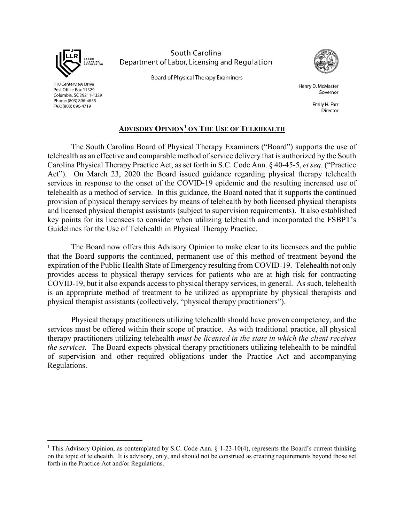

110 Centerview Drive

Post Office Box 11329

FAX: (803) 896-4719

Columbia, SC 29211-1329 Phone: (803) 896-4655

South Carolina Department of Labor, Licensing and Regulation



**Board of Physical Therapy Examiners** 

Henry D. McMaster Governor

> Emily H. Farr Director

## **ADVISORY OPINION[1](#page-0-0) ON THE USE OF TELEHEALTH**

The South Carolina Board of Physical Therapy Examiners ("Board") supports the use of telehealth as an effective and comparable method of service delivery that is authorized by the South Carolina Physical Therapy Practice Act, as set forth in S.C. Code Ann. § 40-45-5, *et seq*. ("Practice Act"). On March 23, 2020 the Board issued guidance regarding physical therapy telehealth services in response to the onset of the COVID-19 epidemic and the resulting increased use of telehealth as a method of service. In this guidance, the Board noted that it supports the continued provision of physical therapy services by means of telehealth by both licensed physical therapists and licensed physical therapist assistants (subject to supervision requirements). It also established key points for its licensees to consider when utilizing telehealth and incorporated the FSBPT's Guidelines for the Use of Telehealth in Physical Therapy Practice.

The Board now offers this Advisory Opinion to make clear to its licensees and the public that the Board supports the continued, permanent use of this method of treatment beyond the expiration of the Public Health State of Emergency resulting from COVID-19. Telehealth not only provides access to physical therapy services for patients who are at high risk for contracting COVID-19, but it also expands access to physical therapy services, in general. As such, telehealth is an appropriate method of treatment to be utilized as appropriate by physical therapists and physical therapist assistants (collectively, "physical therapy practitioners").

Physical therapy practitioners utilizing telehealth should have proven competency, and the services must be offered within their scope of practice. As with traditional practice, all physical therapy practitioners utilizing telehealth *must be licensed in the state in which the client receives the services.* The Board expects physical therapy practitioners utilizing telehealth to be mindful of supervision and other required obligations under the Practice Act and accompanying Regulations.

<span id="page-0-0"></span><sup>&</sup>lt;sup>1</sup> This Advisory Opinion, as contemplated by S.C. Code Ann. § 1-23-10(4), represents the Board's current thinking on the topic of telehealth. It is advisory, only, and should not be construed as creating requirements beyond those set forth in the Practice Act and/or Regulations.